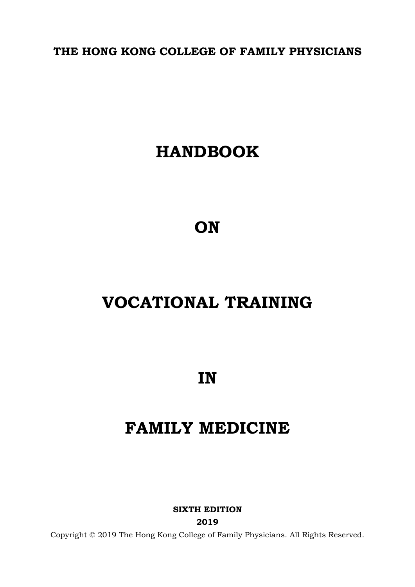**THE HONG KONG COLLEGE OF FAMILY PHYSICIANS**

# **HANDBOOK**

**ON** 

# **VOCATIONAL TRAINING**

**IN** 

# **FAMILY MEDICINE**

**SIXTH EDITION 2019**

Copyright © 2019 The Hong Kong College of Family Physicians. All Rights Reserved.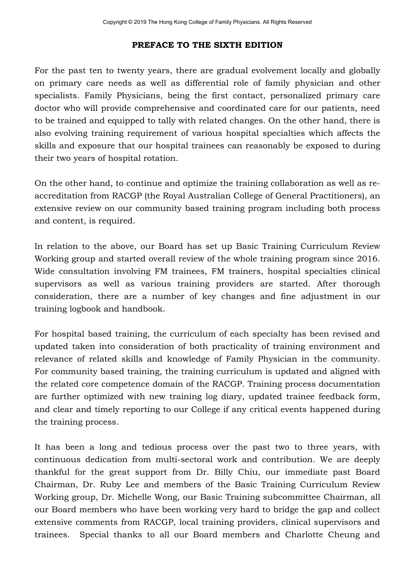### **PREFACE TO THE SIXTH EDITION**

For the past ten to twenty years, there are gradual evolvement locally and globally on primary care needs as well as differential role of family physician and other specialists. Family Physicians, being the first contact, personalized primary care doctor who will provide comprehensive and coordinated care for our patients, need to be trained and equipped to tally with related changes. On the other hand, there is also evolving training requirement of various hospital specialties which affects the skills and exposure that our hospital trainees can reasonably be exposed to during their two years of hospital rotation.

On the other hand, to continue and optimize the training collaboration as well as reaccreditation from RACGP (the Royal Australian College of General Practitioners), an extensive review on our community based training program including both process and content, is required.

In relation to the above, our Board has set up Basic Training Curriculum Review Working group and started overall review of the whole training program since 2016. Wide consultation involving FM trainees, FM trainers, hospital specialties clinical supervisors as well as various training providers are started. After thorough consideration, there are a number of key changes and fine adjustment in our training logbook and handbook.

For hospital based training, the curriculum of each specialty has been revised and updated taken into consideration of both practicality of training environment and relevance of related skills and knowledge of Family Physician in the community. For community based training, the training curriculum is updated and aligned with the related core competence domain of the RACGP. Training process documentation are further optimized with new training log diary, updated trainee feedback form, and clear and timely reporting to our College if any critical events happened during the training process.

It has been a long and tedious process over the past two to three years, with continuous dedication from multi-sectoral work and contribution. We are deeply thankful for the great support from Dr. Billy Chiu, our immediate past Board Chairman, Dr. Ruby Lee and members of the Basic Training Curriculum Review Working group, Dr. Michelle Wong, our Basic Training subcommittee Chairman, all our Board members who have been working very hard to bridge the gap and collect extensive comments from RACGP, local training providers, clinical supervisors and trainees. Special thanks to all our Board members and Charlotte Cheung and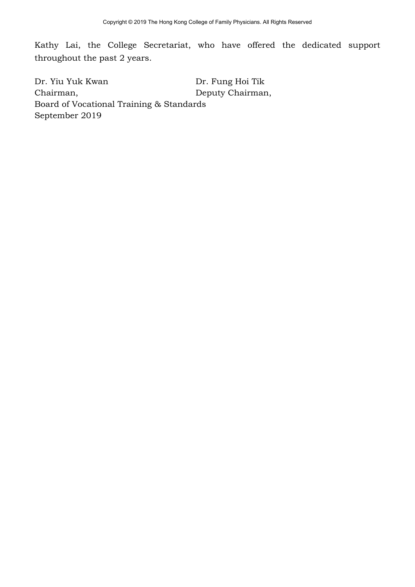Kathy Lai, the College Secretariat, who have offered the dedicated support throughout the past 2 years.

Dr. Yiu Yuk Kwan Chairman, Dr. Fung Hoi Tik Deputy Chairman, Board of Vocational Training & Standards September 2019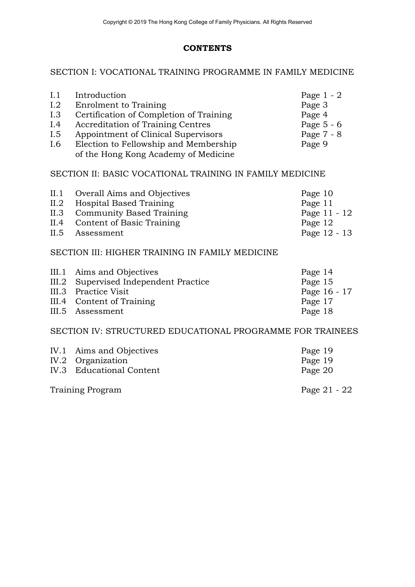# **CONTENTS**

# SECTION I: VOCATIONAL TRAINING PROGRAMME IN FAMILY MEDICINE

| I.1<br>1.2<br>I.3<br>I.4<br>I.5<br>I.6                   | Introduction<br>Enrolment to Training<br>Certification of Completion of Training<br><b>Accreditation of Training Centres</b><br>Appointment of Clinical Supervisors<br>Election to Fellowship and Membership | Page $1 - 2$<br>Page 3<br>Page 4<br>Page $5 - 6$<br>Page 7 - 8<br>Page 9 |  |  |
|----------------------------------------------------------|--------------------------------------------------------------------------------------------------------------------------------------------------------------------------------------------------------------|--------------------------------------------------------------------------|--|--|
|                                                          | of the Hong Kong Academy of Medicine                                                                                                                                                                         |                                                                          |  |  |
| SECTION II: BASIC VOCATIONAL TRAINING IN FAMILY MEDICINE |                                                                                                                                                                                                              |                                                                          |  |  |
| II.1                                                     | <b>Overall Aims and Objectives</b>                                                                                                                                                                           | Page 10                                                                  |  |  |
| II.2                                                     | <b>Hospital Based Training</b>                                                                                                                                                                               | Page 11                                                                  |  |  |
| II.3                                                     | <b>Community Based Training</b>                                                                                                                                                                              | Page 11 - 12                                                             |  |  |
| II.4                                                     | Content of Basic Training                                                                                                                                                                                    | Page 12                                                                  |  |  |
| II.5                                                     | Assessment                                                                                                                                                                                                   | Page 12 - 13                                                             |  |  |
| SECTION III: HIGHER TRAINING IN FAMILY MEDICINE          |                                                                                                                                                                                                              |                                                                          |  |  |

| III.1 Aims and Objectives             | Page 14      |
|---------------------------------------|--------------|
| III.2 Supervised Independent Practice | Page 15      |
| III.3 Practice Visit                  | Page 16 - 17 |
| III.4 Content of Training             | Page 17      |
| III.5 Assessment                      | Page 18      |

#### SECTION IV: STRUCTURED EDUCATIONAL PROGRAMME FOR TRAINEES

| IV.1 Aims and Objectives | Page 19        |
|--------------------------|----------------|
| IV.2 Organization        | Page 19        |
| IV.3 Educational Content | Page 20        |
| Training Program         | Page $21 - 22$ |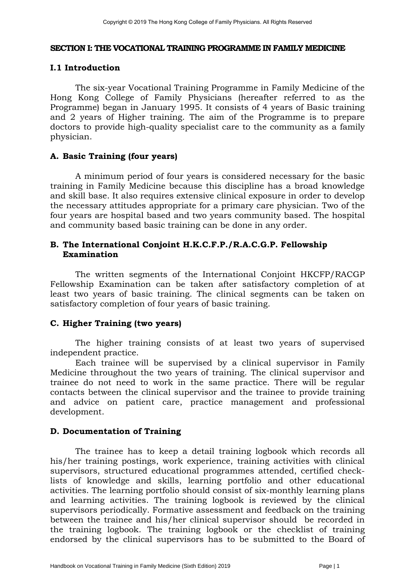#### **SECTION I: THE VOCATIONAL TRAINING PROGRAMME IN FAMILY MEDICINE**

#### **I.1 Introduction**

The six-year Vocational Training Programme in Family Medicine of the Hong Kong College of Family Physicians (hereafter referred to as the Programme) began in January 1995. It consists of 4 years of Basic training and 2 years of Higher training. The aim of the Programme is to prepare doctors to provide high-quality specialist care to the community as a family physician.

#### **A. Basic Training (four years)**

A minimum period of four years is considered necessary for the basic training in Family Medicine because this discipline has a broad knowledge and skill base. It also requires extensive clinical exposure in order to develop the necessary attitudes appropriate for a primary care physician. Two of the four years are hospital based and two years community based. The hospital and community based basic training can be done in any order.

### **B. The International Conjoint H.K.C.F.P./R.A.C.G.P. Fellowship Examination**

The written segments of the International Conjoint HKCFP/RACGP Fellowship Examination can be taken after satisfactory completion of at least two years of basic training. The clinical segments can be taken on satisfactory completion of four years of basic training.

### **C. Higher Training (two years)**

The higher training consists of at least two years of supervised independent practice.

Each trainee will be supervised by a clinical supervisor in Family Medicine throughout the two years of training. The clinical supervisor and trainee do not need to work in the same practice. There will be regular contacts between the clinical supervisor and the trainee to provide training and advice on patient care, practice management and professional development.

#### **D. Documentation of Training**

The trainee has to keep a detail training logbook which records all his/her training postings, work experience, training activities with clinical supervisors, structured educational programmes attended, certified checklists of knowledge and skills, learning portfolio and other educational activities. The learning portfolio should consist of six-monthly learning plans and learning activities. The training logbook is reviewed by the clinical supervisors periodically. Formative assessment and feedback on the training between the trainee and his/her clinical supervisor should be recorded in the training logbook. The training logbook or the checklist of training endorsed by the clinical supervisors has to be submitted to the Board of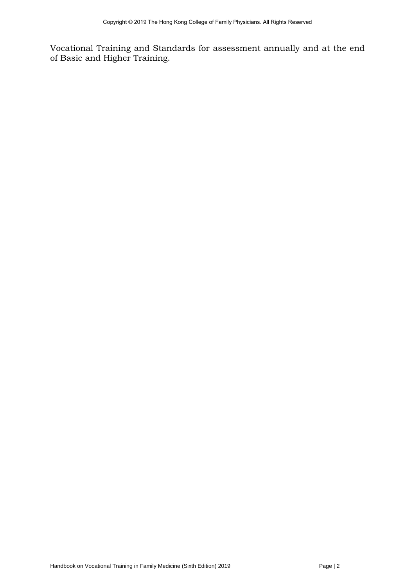Vocational Training and Standards for assessment annually and at the end of Basic and Higher Training.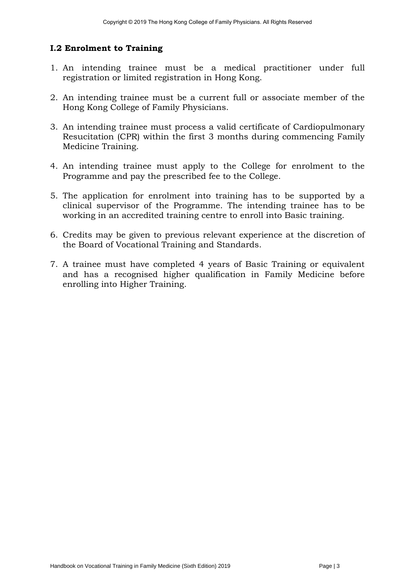# **I.2 Enrolment to Training**

- 1. An intending trainee must be a medical practitioner under full registration or limited registration in Hong Kong.
- 2. An intending trainee must be a current full or associate member of the Hong Kong College of Family Physicians.
- 3. An intending trainee must process a valid certificate of Cardiopulmonary Resucitation (CPR) within the first 3 months during commencing Family Medicine Training.
- 4. An intending trainee must apply to the College for enrolment to the Programme and pay the prescribed fee to the College.
- 5. The application for enrolment into training has to be supported by a clinical supervisor of the Programme. The intending trainee has to be working in an accredited training centre to enroll into Basic training.
- 6. Credits may be given to previous relevant experience at the discretion of the Board of Vocational Training and Standards.
- 7. A trainee must have completed 4 years of Basic Training or equivalent and has a recognised higher qualification in Family Medicine before enrolling into Higher Training.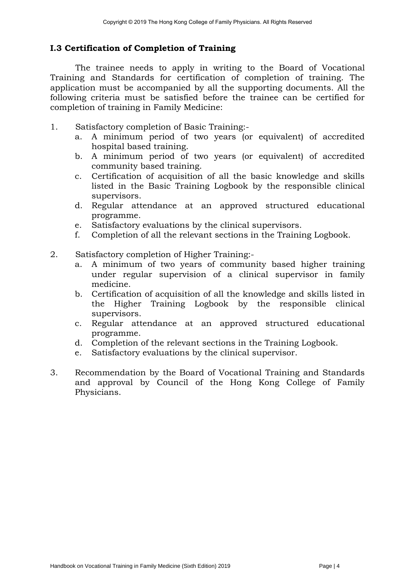# **I.3 Certification of Completion of Training**

The trainee needs to apply in writing to the Board of Vocational Training and Standards for certification of completion of training. The application must be accompanied by all the supporting documents. All the following criteria must be satisfied before the trainee can be certified for completion of training in Family Medicine:

- 1. Satisfactory completion of Basic Training:
	- a. A minimum period of two years (or equivalent) of accredited hospital based training.
	- b. A minimum period of two years (or equivalent) of accredited community based training.
	- c. Certification of acquisition of all the basic knowledge and skills listed in the Basic Training Logbook by the responsible clinical supervisors.
	- d. Regular attendance at an approved structured educational programme.
	- e. Satisfactory evaluations by the clinical supervisors.
	- f. Completion of all the relevant sections in the Training Logbook.
- 2. Satisfactory completion of Higher Training:
	- a. A minimum of two years of community based higher training under regular supervision of a clinical supervisor in family medicine.
	- b. Certification of acquisition of all the knowledge and skills listed in the Higher Training Logbook by the responsible clinical supervisors.
	- c. Regular attendance at an approved structured educational programme.
	- d. Completion of the relevant sections in the Training Logbook.
	- e. Satisfactory evaluations by the clinical supervisor.
- 3. Recommendation by the Board of Vocational Training and Standards and approval by Council of the Hong Kong College of Family Physicians.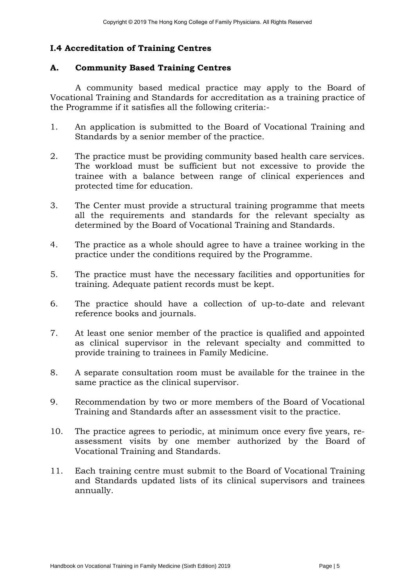# **I.4 Accreditation of Training Centres**

#### **A. Community Based Training Centres**

A community based medical practice may apply to the Board of Vocational Training and Standards for accreditation as a training practice of the Programme if it satisfies all the following criteria:-

- 1. An application is submitted to the Board of Vocational Training and Standards by a senior member of the practice.
- 2. The practice must be providing community based health care services. The workload must be sufficient but not excessive to provide the trainee with a balance between range of clinical experiences and protected time for education.
- 3. The Center must provide a structural training programme that meets all the requirements and standards for the relevant specialty as determined by the Board of Vocational Training and Standards.
- 4. The practice as a whole should agree to have a trainee working in the practice under the conditions required by the Programme.
- 5. The practice must have the necessary facilities and opportunities for training. Adequate patient records must be kept.
- 6. The practice should have a collection of up-to-date and relevant reference books and journals.
- 7. At least one senior member of the practice is qualified and appointed as clinical supervisor in the relevant specialty and committed to provide training to trainees in Family Medicine.
- 8. A separate consultation room must be available for the trainee in the same practice as the clinical supervisor.
- 9. Recommendation by two or more members of the Board of Vocational Training and Standards after an assessment visit to the practice.
- 10. The practice agrees to periodic, at minimum once every five years, reassessment visits by one member authorized by the Board of Vocational Training and Standards.
- 11. Each training centre must submit to the Board of Vocational Training and Standards updated lists of its clinical supervisors and trainees annually.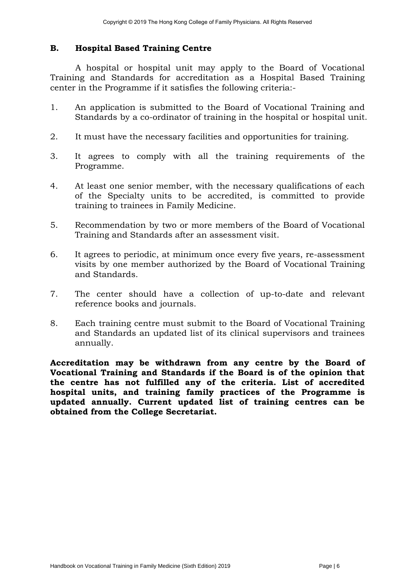### **B. Hospital Based Training Centre**

 A hospital or hospital unit may apply to the Board of Vocational Training and Standards for accreditation as a Hospital Based Training center in the Programme if it satisfies the following criteria:-

- 1. An application is submitted to the Board of Vocational Training and Standards by a co-ordinator of training in the hospital or hospital unit.
- 2. It must have the necessary facilities and opportunities for training.
- 3. It agrees to comply with all the training requirements of the Programme.
- 4. At least one senior member, with the necessary qualifications of each of the Specialty units to be accredited, is committed to provide training to trainees in Family Medicine.
- 5. Recommendation by two or more members of the Board of Vocational Training and Standards after an assessment visit.
- 6. It agrees to periodic, at minimum once every five years, re-assessment visits by one member authorized by the Board of Vocational Training and Standards.
- 7. The center should have a collection of up-to-date and relevant reference books and journals.
- 8. Each training centre must submit to the Board of Vocational Training and Standards an updated list of its clinical supervisors and trainees annually.

**Accreditation may be withdrawn from any centre by the Board of Vocational Training and Standards if the Board is of the opinion that the centre has not fulfilled any of the criteria. List of accredited hospital units, and training family practices of the Programme is updated annually. Current updated list of training centres can be obtained from the College Secretariat.**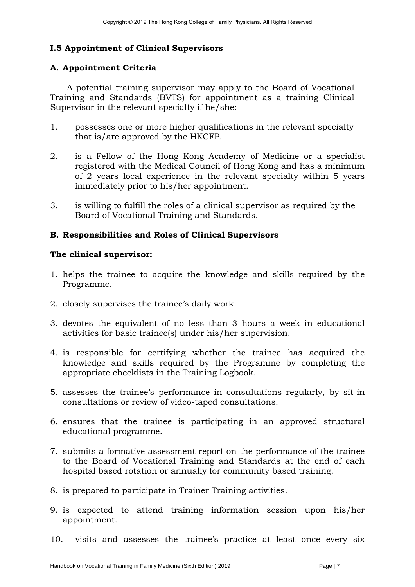# **I.5 Appointment of Clinical Supervisors**

# **A. Appointment Criteria**

A potential training supervisor may apply to the Board of Vocational Training and Standards (BVTS) for appointment as a training Clinical Supervisor in the relevant specialty if he/she:-

- 1. possesses one or more higher qualifications in the relevant specialty that is/are approved by the HKCFP.
- 2. is a Fellow of the Hong Kong Academy of Medicine or a specialist registered with the Medical Council of Hong Kong and has a minimum of 2 years local experience in the relevant specialty within 5 years immediately prior to his/her appointment.
- 3. is willing to fulfill the roles of a clinical supervisor as required by the Board of Vocational Training and Standards.

### **B. Responsibilities and Roles of Clinical Supervisors**

#### **The clinical supervisor:**

- 1. helps the trainee to acquire the knowledge and skills required by the Programme.
- 2. closely supervises the trainee's daily work.
- 3. devotes the equivalent of no less than 3 hours a week in educational activities for basic trainee(s) under his/her supervision.
- 4. is responsible for certifying whether the trainee has acquired the knowledge and skills required by the Programme by completing the appropriate checklists in the Training Logbook.
- 5. assesses the trainee's performance in consultations regularly, by sit-in consultations or review of video-taped consultations.
- 6. ensures that the trainee is participating in an approved structural educational programme.
- 7. submits a formative assessment report on the performance of the trainee to the Board of Vocational Training and Standards at the end of each hospital based rotation or annually for community based training.
- 8. is prepared to participate in Trainer Training activities.
- 9. is expected to attend training information session upon his/her appointment.
- 10. visits and assesses the trainee's practice at least once every six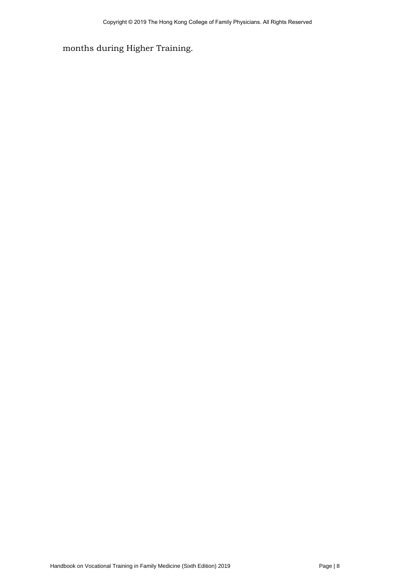months during Higher Training.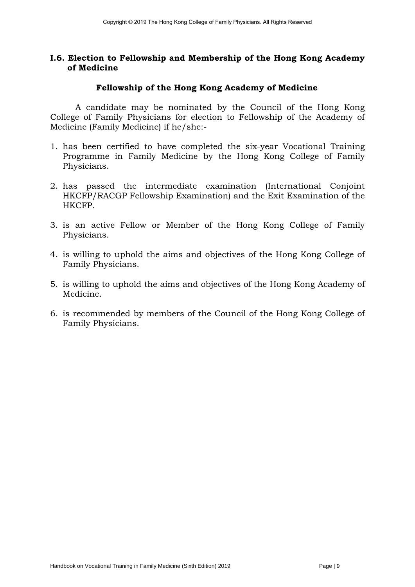#### **I.6. Election to Fellowship and Membership of the Hong Kong Academy of Medicine**

#### **Fellowship of the Hong Kong Academy of Medicine**

A candidate may be nominated by the Council of the Hong Kong College of Family Physicians for election to Fellowship of the Academy of Medicine (Family Medicine) if he/she:-

- 1. has been certified to have completed the six-year Vocational Training Programme in Family Medicine by the Hong Kong College of Family Physicians.
- 2. has passed the intermediate examination (International Conjoint HKCFP/RACGP Fellowship Examination) and the Exit Examination of the HKCFP.
- 3. is an active Fellow or Member of the Hong Kong College of Family Physicians.
- 4. is willing to uphold the aims and objectives of the Hong Kong College of Family Physicians.
- 5. is willing to uphold the aims and objectives of the Hong Kong Academy of Medicine.
- 6. is recommended by members of the Council of the Hong Kong College of Family Physicians.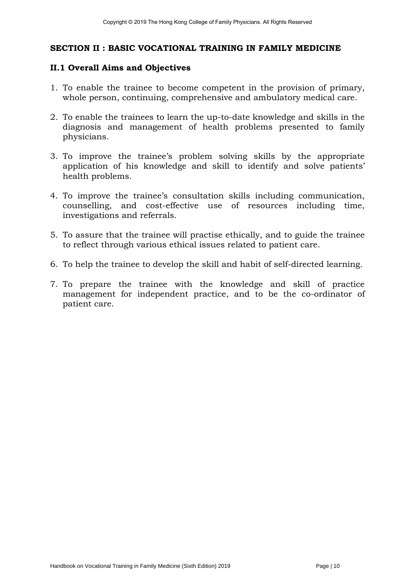#### **SECTION II : BASIC VOCATIONAL TRAINING IN FAMILY MEDICINE**

#### **II.1 Overall Aims and Objectives**

- 1. To enable the trainee to become competent in the provision of primary, whole person, continuing, comprehensive and ambulatory medical care.
- 2. To enable the trainees to learn the up-to-date knowledge and skills in the diagnosis and management of health problems presented to family physicians.
- 3. To improve the trainee's problem solving skills by the appropriate application of his knowledge and skill to identify and solve patients' health problems.
- 4. To improve the trainee's consultation skills including communication, counselling, and cost-effective use of resources including time, investigations and referrals.
- 5. To assure that the trainee will practise ethically, and to guide the trainee to reflect through various ethical issues related to patient care.
- 6. To help the trainee to develop the skill and habit of self-directed learning.
- 7. To prepare the trainee with the knowledge and skill of practice management for independent practice, and to be the co-ordinator of patient care.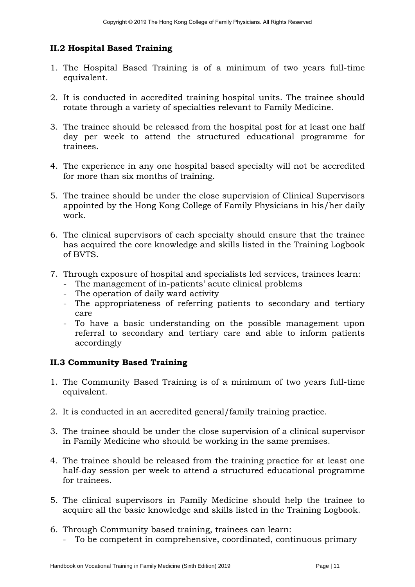# **II.2 Hospital Based Training**

- 1. The Hospital Based Training is of a minimum of two years full-time equivalent.
- 2. It is conducted in accredited training hospital units. The trainee should rotate through a variety of specialties relevant to Family Medicine.
- 3. The trainee should be released from the hospital post for at least one half day per week to attend the structured educational programme for trainees.
- 4. The experience in any one hospital based specialty will not be accredited for more than six months of training.
- 5. The trainee should be under the close supervision of Clinical Supervisors appointed by the Hong Kong College of Family Physicians in his/her daily work.
- 6. The clinical supervisors of each specialty should ensure that the trainee has acquired the core knowledge and skills listed in the Training Logbook of BVTS.
- 7. Through exposure of hospital and specialists led services, trainees learn:
	- The management of in-patients' acute clinical problems
	- The operation of daily ward activity
	- The appropriateness of referring patients to secondary and tertiary care
	- To have a basic understanding on the possible management upon referral to secondary and tertiary care and able to inform patients accordingly

### **II.3 Community Based Training**

- 1. The Community Based Training is of a minimum of two years full-time equivalent.
- 2. It is conducted in an accredited general/family training practice.
- 3. The trainee should be under the close supervision of a clinical supervisor in Family Medicine who should be working in the same premises.
- 4. The trainee should be released from the training practice for at least one half-day session per week to attend a structured educational programme for trainees.
- 5. The clinical supervisors in Family Medicine should help the trainee to acquire all the basic knowledge and skills listed in the Training Logbook.
- 6. Through Community based training, trainees can learn:
	- To be competent in comprehensive, coordinated, continuous primary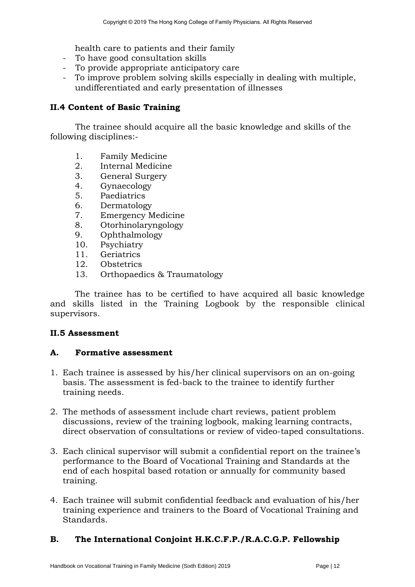health care to patients and their family

- To have good consultation skills
- To provide appropriate anticipatory care
- To improve problem solving skills especially in dealing with multiple, undifferentiated and early presentation of illnesses

#### **II.4 Content of Basic Training**

The trainee should acquire all the basic knowledge and skills of the following disciplines:-

- 1. Family Medicine
- 2. Internal Medicine
- 3. General Surgery
- 4. Gynaecology
- 5. Paediatrics
- 6. Dermatology
- 7. Emergency Medicine
- 8. Otorhinolaryngology
- 9. Ophthalmology
- 10. Psychiatry
- 11. Geriatrics
- 12. Obstetrics
- 13. Orthopaedics & Traumatology

The trainee has to be certified to have acquired all basic knowledge and skills listed in the Training Logbook by the responsible clinical supervisors.

### **II.5 Assessment**

### **A. Formative assessment**

- 1. Each trainee is assessed by his/her clinical supervisors on an on-going basis. The assessment is fed-back to the trainee to identify further training needs.
- 2. The methods of assessment include chart reviews, patient problem discussions, review of the training logbook, making learning contracts, direct observation of consultations or review of video-taped consultations.
- 3. Each clinical supervisor will submit a confidential report on the trainee's performance to the Board of Vocational Training and Standards at the end of each hospital based rotation or annually for community based training.
- 4. Each trainee will submit confidential feedback and evaluation of his/her training experience and trainers to the Board of Vocational Training and Standards.

# **B. The International Conjoint H.K.C.F.P./R.A.C.G.P. Fellowship**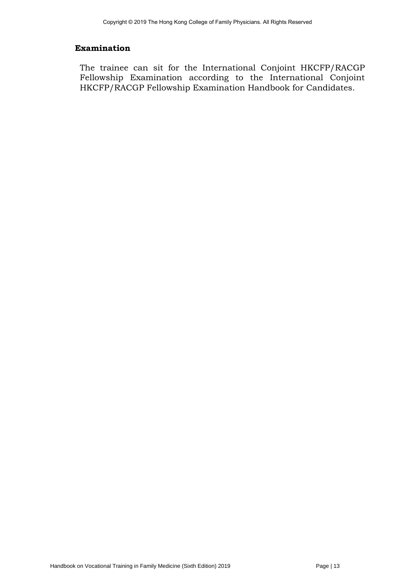#### **Examination**

The trainee can sit for the International Conjoint HKCFP/RACGP Fellowship Examination according to the International Conjoint HKCFP/RACGP Fellowship Examination Handbook for Candidates.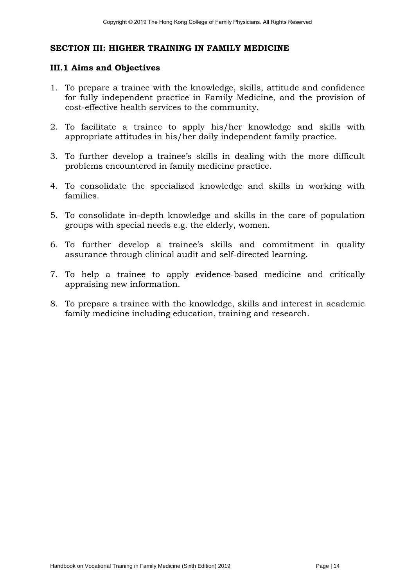### **SECTION III: HIGHER TRAINING IN FAMILY MEDICINE**

#### **III.1 Aims and Objectives**

- 1. To prepare a trainee with the knowledge, skills, attitude and confidence for fully independent practice in Family Medicine, and the provision of cost-effective health services to the community.
- 2. To facilitate a trainee to apply his/her knowledge and skills with appropriate attitudes in his/her daily independent family practice.
- 3. To further develop a trainee's skills in dealing with the more difficult problems encountered in family medicine practice.
- 4. To consolidate the specialized knowledge and skills in working with families.
- 5. To consolidate in-depth knowledge and skills in the care of population groups with special needs e.g. the elderly, women.
- 6. To further develop a trainee's skills and commitment in quality assurance through clinical audit and self-directed learning.
- 7. To help a trainee to apply evidence-based medicine and critically appraising new information.
- 8. To prepare a trainee with the knowledge, skills and interest in academic family medicine including education, training and research.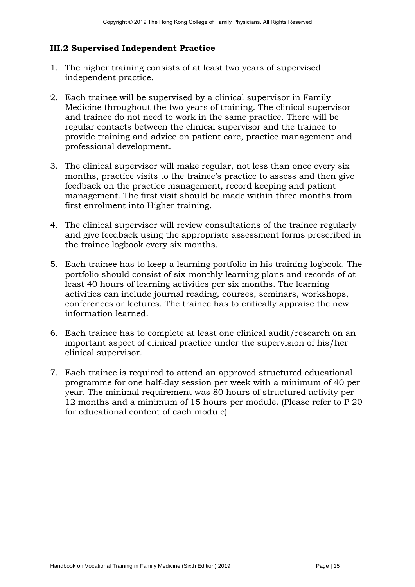# **III.2 Supervised Independent Practice**

- 1. The higher training consists of at least two years of supervised independent practice.
- 2. Each trainee will be supervised by a clinical supervisor in Family Medicine throughout the two years of training. The clinical supervisor and trainee do not need to work in the same practice. There will be regular contacts between the clinical supervisor and the trainee to provide training and advice on patient care, practice management and professional development.
- 3. The clinical supervisor will make regular, not less than once every six months, practice visits to the trainee's practice to assess and then give feedback on the practice management, record keeping and patient management. The first visit should be made within three months from first enrolment into Higher training.
- 4. The clinical supervisor will review consultations of the trainee regularly and give feedback using the appropriate assessment forms prescribed in the trainee logbook every six months.
- 5. Each trainee has to keep a learning portfolio in his training logbook. The portfolio should consist of six-monthly learning plans and records of at least 40 hours of learning activities per six months. The learning activities can include journal reading, courses, seminars, workshops, conferences or lectures. The trainee has to critically appraise the new information learned.
- 6. Each trainee has to complete at least one clinical audit/research on an important aspect of clinical practice under the supervision of his/her clinical supervisor.
- 7. Each trainee is required to attend an approved structured educational programme for one half-day session per week with a minimum of 40 per year. The minimal requirement was 80 hours of structured activity per 12 months and a minimum of 15 hours per module. (Please refer to P 20 for educational content of each module)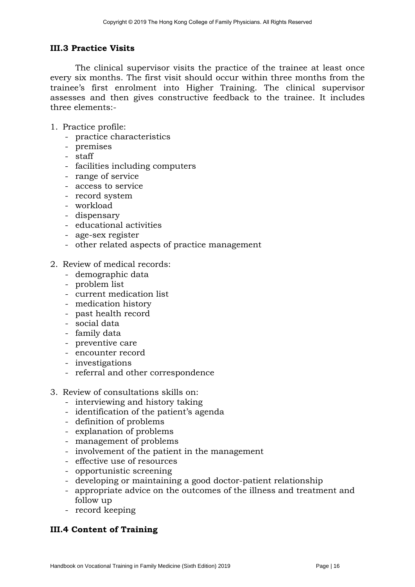#### **III.3 Practice Visits**

The clinical supervisor visits the practice of the trainee at least once every six months. The first visit should occur within three months from the trainee's first enrolment into Higher Training. The clinical supervisor assesses and then gives constructive feedback to the trainee. It includes three elements:-

- 1. Practice profile:
	- practice characteristics
	- premises
	- staff
	- facilities including computers
	- range of service
	- access to service
	- record system
	- workload
	- dispensary
	- educational activities
	- age-sex register
	- other related aspects of practice management
- 2. Review of medical records:
	- demographic data
	- problem list
	- current medication list
	- medication history
	- past health record
	- social data
	- family data
	- preventive care
	- encounter record
	- investigations
	- referral and other correspondence
- 3. Review of consultations skills on:
	- interviewing and history taking
	- identification of the patient's agenda
	- definition of problems
	- explanation of problems
	- management of problems
	- involvement of the patient in the management
	- effective use of resources
	- opportunistic screening
	- developing or maintaining a good doctor-patient relationship
	- appropriate advice on the outcomes of the illness and treatment and follow up
	- record keeping

# **III.4 Content of Training**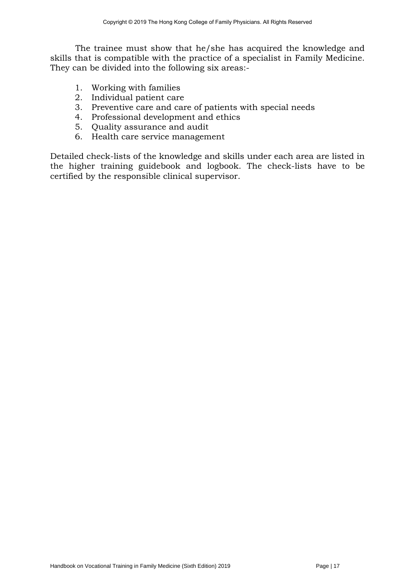The trainee must show that he/she has acquired the knowledge and skills that is compatible with the practice of a specialist in Family Medicine. They can be divided into the following six areas:-

- 1. Working with families
- 2. Individual patient care
- 3. Preventive care and care of patients with special needs
- 4. Professional development and ethics
- 5. Quality assurance and audit
- 6. Health care service management

Detailed check-lists of the knowledge and skills under each area are listed in the higher training guidebook and logbook. The check-lists have to be certified by the responsible clinical supervisor.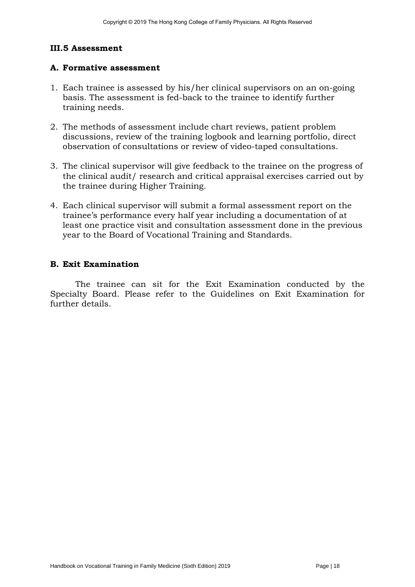# **III.5 Assessment**

#### **A. Formative assessment**

- 1. Each trainee is assessed by his/her clinical supervisors on an on-going basis. The assessment is fed-back to the trainee to identify further training needs.
- 2. The methods of assessment include chart reviews, patient problem discussions, review of the training logbook and learning portfolio, direct observation of consultations or review of video-taped consultations.
- 3. The clinical supervisor will give feedback to the trainee on the progress of the clinical audit/ research and critical appraisal exercises carried out by the trainee during Higher Training.
- 4. Each clinical supervisor will submit a formal assessment report on the trainee's performance every half year including a documentation of at least one practice visit and consultation assessment done in the previous year to the Board of Vocational Training and Standards.

#### **B. Exit Examination**

The trainee can sit for the Exit Examination conducted by the Specialty Board. Please refer to the Guidelines on Exit Examination for further details.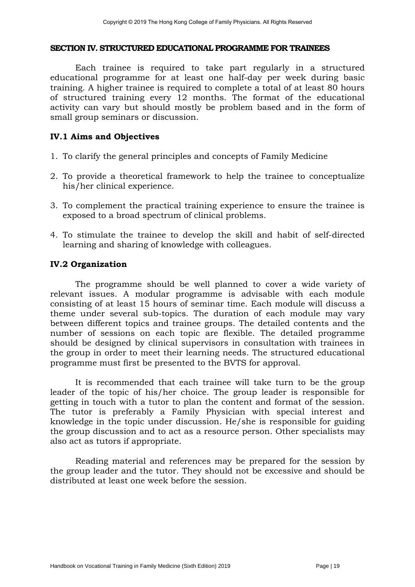#### **SECTION IV. STRUCTURED EDUCATIONAL PROGRAMME FOR TRAINEES**

Each trainee is required to take part regularly in a structured educational programme for at least one half-day per week during basic training. A higher trainee is required to complete a total of at least 80 hours of structured training every 12 months. The format of the educational activity can vary but should mostly be problem based and in the form of small group seminars or discussion.

#### **IV.1 Aims and Objectives**

- 1. To clarify the general principles and concepts of Family Medicine
- 2. To provide a theoretical framework to help the trainee to conceptualize his/her clinical experience.
- 3. To complement the practical training experience to ensure the trainee is exposed to a broad spectrum of clinical problems.
- 4. To stimulate the trainee to develop the skill and habit of self-directed learning and sharing of knowledge with colleagues.

#### **IV.2 Organization**

The programme should be well planned to cover a wide variety of relevant issues. A modular programme is advisable with each module consisting of at least 15 hours of seminar time. Each module will discuss a theme under several sub-topics. The duration of each module may vary between different topics and trainee groups. The detailed contents and the number of sessions on each topic are flexible. The detailed programme should be designed by clinical supervisors in consultation with trainees in the group in order to meet their learning needs. The structured educational programme must first be presented to the BVTS for approval.

It is recommended that each trainee will take turn to be the group leader of the topic of his/her choice. The group leader is responsible for getting in touch with a tutor to plan the content and format of the session. The tutor is preferably a Family Physician with special interest and knowledge in the topic under discussion. He/she is responsible for guiding the group discussion and to act as a resource person. Other specialists may also act as tutors if appropriate.

Reading material and references may be prepared for the session by the group leader and the tutor. They should not be excessive and should be distributed at least one week before the session.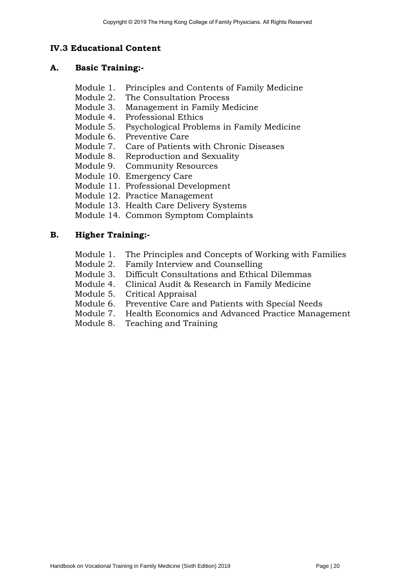# **IV.3 Educational Content**

#### **A. Basic Training:-**

- Module 1. Principles and Contents of Family Medicine
- Module 2. The Consultation Process
- Module 3. Management in Family Medicine
- Module 4. Professional Ethics
- Module 5. Psychological Problems in Family Medicine
- Module 6. Preventive Care
- Module 7. Care of Patients with Chronic Diseases
- Module 8. Reproduction and Sexuality
- Module 9. Community Resources
- Module 10. Emergency Care
- Module 11. Professional Development
- Module 12. Practice Management
- Module 13. Health Care Delivery Systems
- Module 14. Common Symptom Complaints

### **B. Higher Training:-**

- Module 1. The Principles and Concepts of Working with Families
- Module 2. Family Interview and Counselling
- Module 3. Difficult Consultations and Ethical Dilemmas
- Module 4. Clinical Audit & Research in Family Medicine
- Module 5. Critical Appraisal
- Module 6. Preventive Care and Patients with Special Needs
- Module 7. Health Economics and Advanced Practice Management
- Module 8. Teaching and Training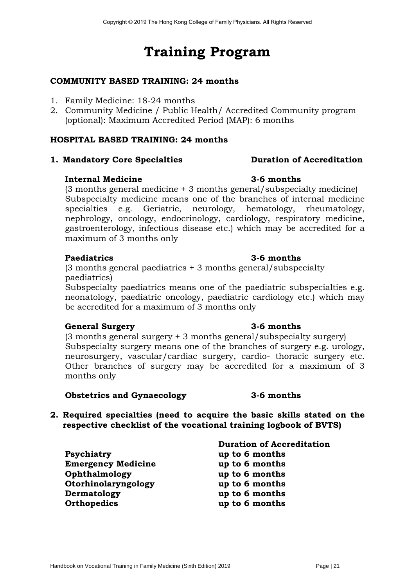# **Training Program**

# **COMMUNITY BASED TRAINING: 24 months**

- 1. Family Medicine: 18-24 months
- 2. Community Medicine / Public Health/ Accredited Community program (optional): Maximum Accredited Period (MAP): 6 months

# **HOSPITAL BASED TRAINING: 24 months**

### **1. Mandatory Core Specialties Duration of Accreditation**

#### **Internal Medicine 3-6 months**

(3 months general medicine + 3 months general/subspecialty medicine) Subspecialty medicine means one of the branches of internal medicine specialties e.g. Geriatric, neurology, hematology, rheumatology, nephrology, oncology, endocrinology, cardiology, respiratory medicine, gastroenterology, infectious disease etc.) which may be accredited for a maximum of 3 months only

### **Paediatrics 3-6 months**

# (3 months general paediatrics + 3 months general/subspecialty paediatrics)

Subspecialty paediatrics means one of the paediatric subspecialties e.g. neonatology, paediatric oncology, paediatric cardiology etc.) which may be accredited for a maximum of 3 months only

### **General Surgery 3-6 months**

(3 months general surgery + 3 months general/subspecialty surgery) Subspecialty surgery means one of the branches of surgery e.g. urology, neurosurgery, vascular/cardiac surgery, cardio- thoracic surgery etc. Other branches of surgery may be accredited for a maximum of 3 months only

#### **Obstetrics and Gynaecology 3-6 months**

### **2. Required specialties (need to acquire the basic skills stated on the respective checklist of the vocational training logbook of BVTS)**

|                           | <b>Duration of Accreditation</b> |
|---------------------------|----------------------------------|
| Psychiatry                | up to 6 months                   |
| <b>Emergency Medicine</b> | up to 6 months                   |
| Ophthalmology             | up to 6 months                   |
| Otorhinolaryngology       | up to 6 months                   |
| Dermatology               | up to 6 months                   |
| Orthopedics               | up to 6 months                   |